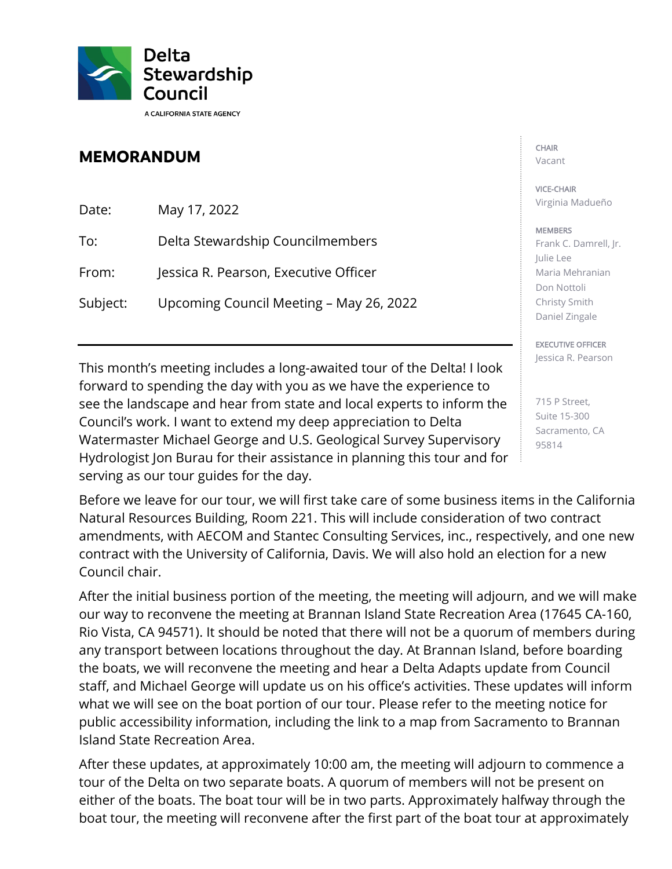

## **MEMORANDUM**

Date: May 17, 2022 To: Delta Stewardship Councilmembers From: Jessica R. Pearson, Executive Officer Subject: Upcoming Council Meeting – May 26, 2022

This month's meeting includes a long-awaited tour of the Delta! I look forward to spending the day with you as we have the experience to see the landscape and hear from state and local experts to inform the Council's work. I want to extend my deep appreciation to Delta Watermaster Michael George and U.S. Geological Survey Supervisory Hydrologist Jon Burau for their assistance in planning this tour and for serving as our tour guides for the day.

Before we leave for our tour, we will first take care of some business items in the California Natural Resources Building, Room 221. This will include consideration of two contract amendments, with AECOM and Stantec Consulting Services, inc., respectively, and one new contract with the University of California, Davis. We will also hold an election for a new Council chair.

After the initial business portion of the meeting, the meeting will adjourn, and we will make our way to reconvene the meeting at Brannan Island State Recreation Area (17645 CA-160, Rio Vista, CA 94571). It should be noted that there will not be a quorum of members during any transport between locations throughout the day. At Brannan Island, before boarding the boats, we will reconvene the meeting and hear a Delta Adapts update from Council staff, and Michael George will update us on his office's activities. These updates will inform what we will see on the boat portion of our tour. Please refer to the meeting notice for public accessibility information, including the link to a map from Sacramento to Brannan Island State Recreation Area.

After these updates, at approximately 10:00 am, the meeting will adjourn to commence a tour of the Delta on two separate boats. A quorum of members will not be present on either of the boats. The boat tour will be in two parts. Approximately halfway through the boat tour, the meeting will reconvene after the first part of the boat tour at approximately

## CHAIR

Vacant

## VICE-CHAIR Virginia Madueño

## **MEMBERS**

Frank C. Damrell, Jr. Julie Lee Maria Mehranian Don Nottoli Christy Smith Daniel Zingale

EXECUTIVE OFFICER Jessica R. Pearson

715 P Street, Suite 15-300 Sacramento, CA 95814